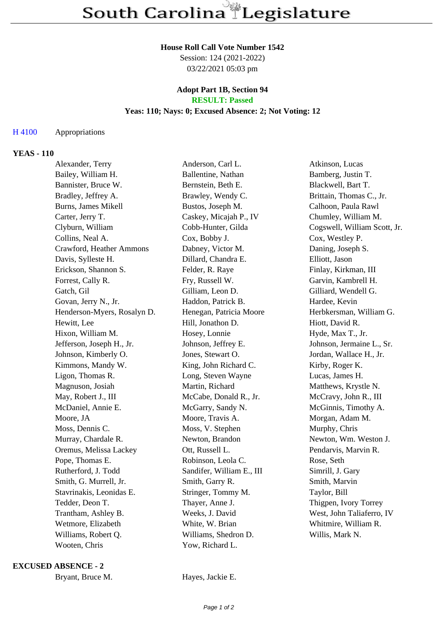#### **House Roll Call Vote Number 1542**

Session: 124 (2021-2022) 03/22/2021 05:03 pm

## **Adopt Part 1B, Section 94 RESULT: Passed**

# **Yeas: 110; Nays: 0; Excused Absence: 2; Not Voting: 12**

## H 4100 Appropriations

## **YEAS - 110**

| Alexander, Terry            | Anderson, Carl L.         | Atkinson, Lucas              |
|-----------------------------|---------------------------|------------------------------|
| Bailey, William H.          | Ballentine, Nathan        | Bamberg, Justin T.           |
| Bannister, Bruce W.         | Bernstein, Beth E.        | Blackwell, Bart T.           |
| Bradley, Jeffrey A.         | Brawley, Wendy C.         | Brittain, Thomas C., Jr.     |
| Burns, James Mikell         | Bustos, Joseph M.         | Calhoon, Paula Rawl          |
| Carter, Jerry T.            | Caskey, Micajah P., IV    | Chumley, William M.          |
| Clyburn, William            | Cobb-Hunter, Gilda        | Cogswell, William Scott, Jr. |
| Collins, Neal A.            | Cox, Bobby J.             | Cox, Westley P.              |
| Crawford, Heather Ammons    | Dabney, Victor M.         | Daning, Joseph S.            |
| Davis, Sylleste H.          | Dillard, Chandra E.       | Elliott, Jason               |
| Erickson, Shannon S.        | Felder, R. Raye           | Finlay, Kirkman, III         |
| Forrest, Cally R.           | Fry, Russell W.           | Garvin, Kambrell H.          |
| Gatch, Gil                  | Gilliam, Leon D.          | Gilliard, Wendell G.         |
| Govan, Jerry N., Jr.        | Haddon, Patrick B.        | Hardee, Kevin                |
| Henderson-Myers, Rosalyn D. | Henegan, Patricia Moore   | Herbkersman, William G.      |
| Hewitt, Lee                 | Hill, Jonathon D.         | Hiott, David R.              |
| Hixon, William M.           | Hosey, Lonnie             | Hyde, Max T., Jr.            |
| Jefferson, Joseph H., Jr.   | Johnson, Jeffrey E.       | Johnson, Jermaine L., Sr.    |
| Johnson, Kimberly O.        | Jones, Stewart O.         | Jordan, Wallace H., Jr.      |
| Kimmons, Mandy W.           | King, John Richard C.     | Kirby, Roger K.              |
| Ligon, Thomas R.            | Long, Steven Wayne        | Lucas, James H.              |
| Magnuson, Josiah            | Martin, Richard           | Matthews, Krystle N.         |
| May, Robert J., III         | McCabe, Donald R., Jr.    | McCravy, John R., III        |
| McDaniel, Annie E.          | McGarry, Sandy N.         | McGinnis, Timothy A.         |
| Moore, JA                   | Moore, Travis A.          | Morgan, Adam M.              |
| Moss, Dennis C.             | Moss, V. Stephen          | Murphy, Chris                |
| Murray, Chardale R.         | Newton, Brandon           | Newton, Wm. Weston J.        |
| Oremus, Melissa Lackey      | Ott, Russell L.           | Pendarvis, Marvin R.         |
| Pope, Thomas E.             | Robinson, Leola C.        | Rose, Seth                   |
| Rutherford, J. Todd         | Sandifer, William E., III | Simrill, J. Gary             |
| Smith, G. Murrell, Jr.      | Smith, Garry R.           | Smith, Marvin                |
| Stavrinakis, Leonidas E.    | Stringer, Tommy M.        | Taylor, Bill                 |
| Tedder, Deon T.             | Thayer, Anne J.           | Thigpen, Ivory Torrey        |
| Trantham, Ashley B.         | Weeks, J. David           | West, John Taliaferro, IV    |
| Wetmore, Elizabeth          | White, W. Brian           | Whitmire, William R.         |
| Williams, Robert Q.         | Williams, Shedron D.      | Willis, Mark N.              |
| Wooten, Chris               | Yow, Richard L.           |                              |

## **EXCUSED ABSENCE - 2**

Bryant, Bruce M. Hayes, Jackie E.